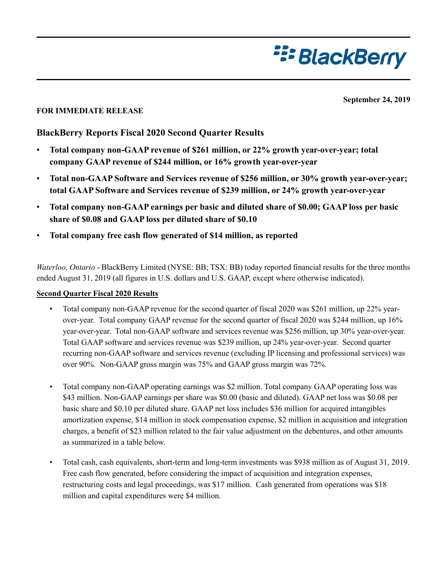# **E: BlackBerry**

## **FOR IMMEDIATE RELEASE**

**September 24, 2019**

# **BlackBerry Reports Fiscal 2020 Second Quarter Results**

- **Total company non-GAAP revenue of \$261 million, or 22% growth year-over-year; total company GAAP revenue of \$244 million, or 16% growth year-over-year**
- **Total non-GAAP Software and Services revenue of \$256 million, or 30% growth year-over-year; total GAAP Software and Services revenue of \$239 million, or 24% growth year-over-year**
- **Total company non-GAAP earnings per basic and diluted share of \$0.00; GAAP loss per basic share of \$0.08 and GAAP loss per diluted share of \$0.10**
- **Total company free cash flow generated of \$14 million, as reported**

*Waterloo, Ontario* - BlackBerry Limited (NYSE: BB; TSX: BB) today reported financial results for the three months ended August 31, 2019 (all figures in U.S. dollars and U.S. GAAP, except where otherwise indicated).

## **Second Quarter Fiscal 2020 Results**

- Total company non-GAAP revenue for the second quarter of fiscal 2020 was \$261 million, up 22% yearover-year. Total company GAAP revenue for the second quarter of fiscal 2020 was \$244 million, up 16% year-over-year. Total non-GAAP software and services revenue was \$256 million, up 30% year-over-year. Total GAAP software and services revenue was \$239 million, up 24% year-over-year. Second quarter recurring non-GAAP software and services revenue (excluding IP licensing and professional services) was over 90%. Non-GAAP gross margin was 75% and GAAP gross margin was 72%.
- Total company non-GAAP operating earnings was \$2 million. Total company GAAP operating loss was \$43 million. Non-GAAP earnings per share was \$0.00 (basic and diluted). GAAP net loss was \$0.08 per basic share and \$0.10 per diluted share. GAAP net loss includes \$36 million for acquired intangibles amortization expense, \$14 million in stock compensation expense, \$2 million in acquisition and integration charges, a benefit of \$23 million related to the fair value adjustment on the debentures, and other amounts as summarized in a table below.
- Total cash, cash equivalents, short-term and long-term investments was \$938 million as of August 31, 2019. Free cash flow generated, before considering the impact of acquisition and integration expenses, restructuring costs and legal proceedings, was \$17 million. Cash generated from operations was \$18 million and capital expenditures were \$4 million.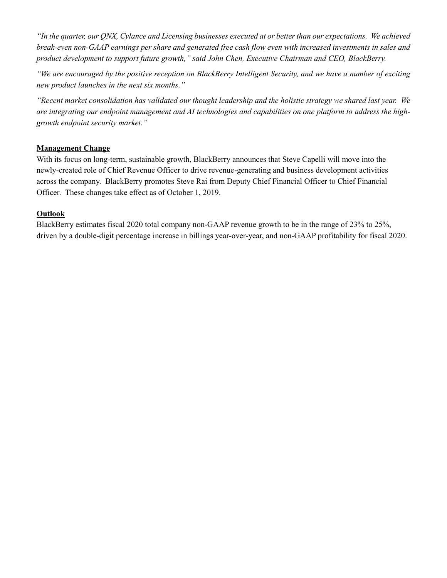*"In the quarter, our QNX, Cylance and Licensing businesses executed at or better than our expectations. We achieved break-even non-GAAP earnings per share and generated free cash flow even with increased investments in sales and product development to support future growth," said John Chen, Executive Chairman and CEO, BlackBerry.* 

*"We are encouraged by the positive reception on BlackBerry Intelligent Security, and we have a number of exciting new product launches in the next six months."* 

*"Recent market consolidation has validated our thought leadership and the holistic strategy we shared last year. We*  are integrating our endpoint management and AI technologies and capabilities on one platform to address the high*growth endpoint security market."*

# **Management Change**

With its focus on long-term, sustainable growth, BlackBerry announces that Steve Capelli will move into the newly-created role of Chief Revenue Officer to drive revenue-generating and business development activities across the company. BlackBerry promotes Steve Rai from Deputy Chief Financial Officer to Chief Financial Officer. These changes take effect as of October 1, 2019.

## **Outlook**

BlackBerry estimates fiscal 2020 total company non-GAAP revenue growth to be in the range of 23% to 25%, driven by a double-digit percentage increase in billings year-over-year, and non-GAAP profitability for fiscal 2020.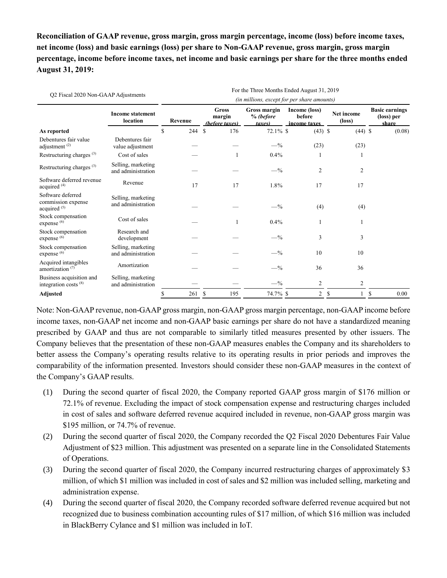**Reconciliation of GAAP revenue, gross margin, gross margin percentage, income (loss) before income taxes, net income (loss) and basic earnings (loss) per share to Non-GAAP revenue, gross margin, gross margin percentage, income before income taxes, net income and basic earnings per share for the three months ended August 31, 2019:**

| Q2 Fiscal 2020 Non-GAAP Adjustments                          |                                          |    | For the Three Months Ended August 31, 2019<br>(in millions, except for per share amounts) |               |                                                 |                                     |                                         |                      |                                              |  |  |  |  |
|--------------------------------------------------------------|------------------------------------------|----|-------------------------------------------------------------------------------------------|---------------|-------------------------------------------------|-------------------------------------|-----------------------------------------|----------------------|----------------------------------------------|--|--|--|--|
|                                                              | <b>Income statement</b><br>location      |    | Revenue                                                                                   |               | <b>Gross</b><br>margin<br><i>(before taxes)</i> | Gross margin<br>% (before<br>taxes) | Income (loss)<br>before<br>income taxes | Net income<br>(loss) | <b>Basic earnings</b><br>(loss) per<br>share |  |  |  |  |
| As reported                                                  |                                          | \$ | 244                                                                                       | <sup>\$</sup> | 176                                             | 72.1% \$                            | $(43)$ \$                               | $(44)$ \$            | (0.08)                                       |  |  |  |  |
| Debentures fair value<br>adjustment <sup>(2)</sup>           | Debentures fair<br>value adjustment      |    |                                                                                           |               |                                                 | $-$ %                               | (23)                                    | (23)                 |                                              |  |  |  |  |
| Restructuring charges <sup>(3)</sup>                         | Cost of sales                            |    |                                                                                           |               | 1                                               | 0.4%                                | 1                                       | 1                    |                                              |  |  |  |  |
| Restructuring charges <sup>(3)</sup>                         | Selling, marketing<br>and administration |    |                                                                                           |               |                                                 | $-$ %                               | 2                                       | 2                    |                                              |  |  |  |  |
| Software deferred revenue<br>acquired <sup>(4)</sup>         | Revenue                                  |    | 17                                                                                        |               | 17                                              | 1.8%                                | 17                                      | 17                   |                                              |  |  |  |  |
| Software deferred<br>commission expense<br>acquired $(5)$    | Selling, marketing<br>and administration |    |                                                                                           |               |                                                 | $-$ %                               | (4)                                     | (4)                  |                                              |  |  |  |  |
| Stock compensation<br>expense $(6)$                          | Cost of sales                            |    |                                                                                           |               |                                                 | 0.4%                                |                                         |                      |                                              |  |  |  |  |
| Stock compensation<br>expense $(6)$                          | Research and<br>development              |    |                                                                                           |               |                                                 | $-$ %                               | 3                                       | 3                    |                                              |  |  |  |  |
| Stock compensation<br>expense <sup>(6)</sup>                 | Selling, marketing<br>and administration |    |                                                                                           |               |                                                 | $-$ %                               | 10                                      | 10                   |                                              |  |  |  |  |
| Acquired intangibles<br>amortization <sup>(7)</sup>          | Amortization                             |    |                                                                                           |               |                                                 | $-$ %                               | 36                                      | 36                   |                                              |  |  |  |  |
| Business acquisition and<br>integration costs <sup>(8)</sup> | Selling, marketing<br>and administration |    |                                                                                           |               |                                                 | $-$ %                               | 2                                       | 2                    |                                              |  |  |  |  |
| <b>Adjusted</b>                                              |                                          |    | 261                                                                                       | <sup>\$</sup> | 195                                             | 74.7% \$                            | 2                                       | \$                   | S<br>0.00                                    |  |  |  |  |

Note: Non-GAAP revenue, non-GAAP gross margin, non-GAAP gross margin percentage, non-GAAP income before income taxes, non-GAAP net income and non-GAAP basic earnings per share do not have a standardized meaning prescribed by GAAP and thus are not comparable to similarly titled measures presented by other issuers. The Company believes that the presentation of these non-GAAP measures enables the Company and its shareholders to better assess the Company's operating results relative to its operating results in prior periods and improves the comparability of the information presented. Investors should consider these non-GAAP measures in the context of the Company's GAAP results.

- (1) During the second quarter of fiscal 2020, the Company reported GAAP gross margin of \$176 million or 72.1% of revenue. Excluding the impact of stock compensation expense and restructuring charges included in cost of sales and software deferred revenue acquired included in revenue, non-GAAP gross margin was \$195 million, or 74.7% of revenue.
- (2) During the second quarter of fiscal 2020, the Company recorded the Q2 Fiscal 2020 Debentures Fair Value Adjustment of \$23 million. This adjustment was presented on a separate line in the Consolidated Statements of Operations.
- (3) During the second quarter of fiscal 2020, the Company incurred restructuring charges of approximately \$3 million, of which \$1 million was included in cost of sales and \$2 million was included selling, marketing and administration expense.
- (4) During the second quarter of fiscal 2020, the Company recorded software deferred revenue acquired but not recognized due to business combination accounting rules of \$17 million, of which \$16 million was included in BlackBerry Cylance and \$1 million was included in IoT.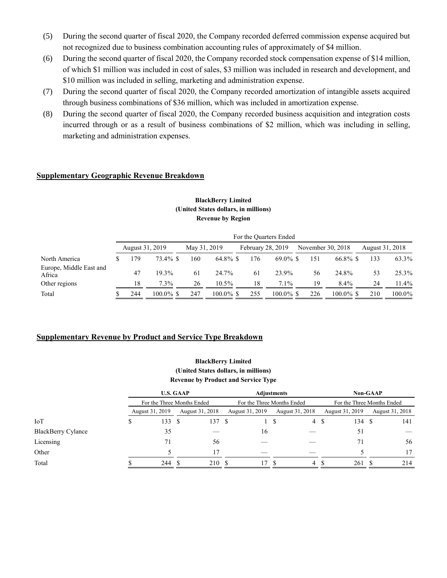- (5) During the second quarter of fiscal 2020, the Company recorded deferred commission expense acquired but not recognized due to business combination accounting rules of approximately of \$4 million.
- (6) During the second quarter of fiscal 2020, the Company recorded stock compensation expense of \$14 million, of which \$1 million was included in cost of sales, \$3 million was included in research and development, and \$10 million was included in selling, marketing and administration expense.
- (7) During the second quarter of fiscal 2020, the Company recorded amortization of intangible assets acquired through business combinations of \$36 million, which was included in amortization expense.
- (8) During the second quarter of fiscal 2020, the Company recorded business acquisition and integration costs incurred through or as a result of business combinations of \$2 million, which was including in selling, marketing and administration expenses.

#### **Supplementary Geographic Revenue Breakdown**

|                                   |                        |     |                 |              | (United States dollars, in millions)<br><b>Revenue by Region</b> |  |                   |              |  |     |                   |     |                 |
|-----------------------------------|------------------------|-----|-----------------|--------------|------------------------------------------------------------------|--|-------------------|--------------|--|-----|-------------------|-----|-----------------|
|                                   | For the Quarters Ended |     |                 |              |                                                                  |  |                   |              |  |     |                   |     |                 |
|                                   |                        |     | August 31, 2019 | May 31, 2019 |                                                                  |  | February 28, 2019 |              |  |     | November 30, 2018 |     | August 31, 2018 |
| North America                     | S                      | 79  | 73.4% \$        | 160          | $64.8\%$ \$                                                      |  | 176               | $69.0\%$ \$  |  | 151 | $66.8\%$ \$       | 133 | 63.3%           |
| Europe, Middle East and<br>Africa |                        | 47  | 19.3%           | 61           | 24.7%                                                            |  | 61                | 23.9%        |  | 56  | 24.8%             | 53  | 25.3%           |
| Other regions                     |                        | 18  | 7.3%            | 26           | $10.5\%$                                                         |  | 18                | $7.1\%$      |  | 19  | 8.4%              | 24  | $11.4\%$        |
| Total                             |                        | 244 | $100.0\%$ \$    | 247          | $100.0\%$ \$                                                     |  | 255               | $100.0\%$ \$ |  | 226 | $100.0\%$ \$      | 210 | 100.0%          |

# **BlackBerry Limited (United States dollars, in millions)**

#### **Supplementary Revenue by Product and Service Type Breakdown**

#### **BlackBerry Limited (United States dollars, in millions) Revenue by Product and Service Type**

|                           |                 | <b>U.S. GAAP</b>           |                 | Adjustments                | <b>Non-GAAP</b>            |                 |  |  |  |
|---------------------------|-----------------|----------------------------|-----------------|----------------------------|----------------------------|-----------------|--|--|--|
|                           |                 | For the Three Months Ended |                 | For the Three Months Ended | For the Three Months Ended |                 |  |  |  |
|                           | August 31, 2019 | August 31, 2018            | August 31, 2019 | August 31, 2018            | August 31, 2019            | August 31, 2018 |  |  |  |
| <b>IoT</b>                | 133 \$<br>S     | 137                        |                 | 4 \$                       | 134 \$                     | 141             |  |  |  |
| <b>BlackBerry Cylance</b> | 35              |                            | 16              |                            | 51                         |                 |  |  |  |
| Licensing                 | 71              | 56                         |                 |                            | 71                         | 56              |  |  |  |
| Other                     |                 |                            |                 |                            |                            | 17              |  |  |  |
| Total                     | 244             | 210 \$<br>-S               | 17S             | 4                          | 261 \$                     | 214             |  |  |  |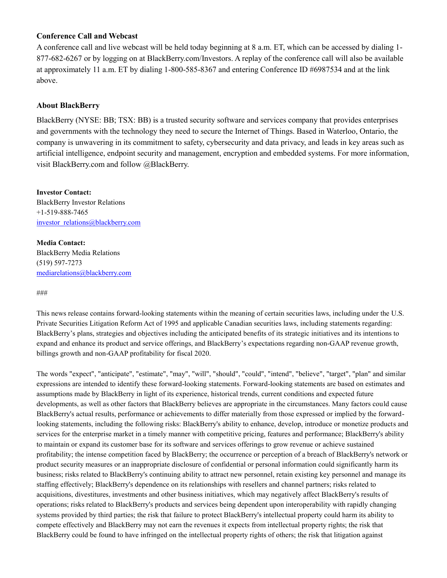#### **Conference Call and Webcast**

A conference call and live webcast will be held today beginning at 8 a.m. ET, which can be accessed by dialing 1- 877-682-6267 or by logging on at BlackBerry.com/Investors. A replay of the conference call will also be available at approximately 11 a.m. ET by dialing 1-800-585-8367 and entering Conference ID #6987534 and at the link above.

#### **About BlackBerry**

BlackBerry (NYSE: BB; TSX: BB) is a trusted security software and services company that provides enterprises and governments with the technology they need to secure the Internet of Things. Based in Waterloo, Ontario, the company is unwavering in its commitment to safety, cybersecurity and data privacy, and leads in key areas such as artificial intelligence, endpoint security and management, encryption and embedded systems. For more information, visit BlackBerry.com and follow @BlackBerry.

**Investor Contact:** BlackBerry Investor Relations +1-519-888-7465 investor\_relations@blackberry.com

**Media Contact:** BlackBerry Media Relations (519) 597-7273 mediarelations@blackberry.com

#### ###

This news release contains forward-looking statements within the meaning of certain securities laws, including under the U.S. Private Securities Litigation Reform Act of 1995 and applicable Canadian securities laws, including statements regarding: BlackBerry's plans, strategies and objectives including the anticipated benefits of its strategic initiatives and its intentions to expand and enhance its product and service offerings, and BlackBerry's expectations regarding non-GAAP revenue growth, billings growth and non-GAAP profitability for fiscal 2020.

The words "expect", "anticipate", "estimate", "may", "will", "should", "could", "intend", "believe", "target", "plan" and similar expressions are intended to identify these forward-looking statements. Forward-looking statements are based on estimates and assumptions made by BlackBerry in light of its experience, historical trends, current conditions and expected future developments, as well as other factors that BlackBerry believes are appropriate in the circumstances. Many factors could cause BlackBerry's actual results, performance or achievements to differ materially from those expressed or implied by the forwardlooking statements, including the following risks: BlackBerry's ability to enhance, develop, introduce or monetize products and services for the enterprise market in a timely manner with competitive pricing, features and performance; BlackBerry's ability to maintain or expand its customer base for its software and services offerings to grow revenue or achieve sustained profitability; the intense competition faced by BlackBerry; the occurrence or perception of a breach of BlackBerry's network or product security measures or an inappropriate disclosure of confidential or personal information could significantly harm its business; risks related to BlackBerry's continuing ability to attract new personnel, retain existing key personnel and manage its staffing effectively; BlackBerry's dependence on its relationships with resellers and channel partners; risks related to acquisitions, divestitures, investments and other business initiatives, which may negatively affect BlackBerry's results of operations; risks related to BlackBerry's products and services being dependent upon interoperability with rapidly changing systems provided by third parties; the risk that failure to protect BlackBerry's intellectual property could harm its ability to compete effectively and BlackBerry may not earn the revenues it expects from intellectual property rights; the risk that BlackBerry could be found to have infringed on the intellectual property rights of others; the risk that litigation against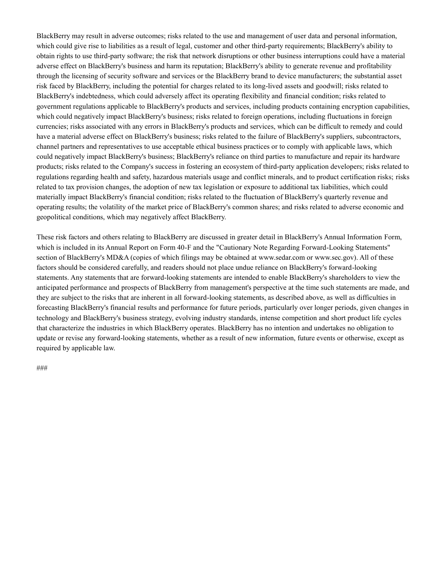BlackBerry may result in adverse outcomes; risks related to the use and management of user data and personal information, which could give rise to liabilities as a result of legal, customer and other third-party requirements; BlackBerry's ability to obtain rights to use third-party software; the risk that network disruptions or other business interruptions could have a material adverse effect on BlackBerry's business and harm its reputation; BlackBerry's ability to generate revenue and profitability through the licensing of security software and services or the BlackBerry brand to device manufacturers; the substantial asset risk faced by BlackBerry, including the potential for charges related to its long-lived assets and goodwill; risks related to BlackBerry's indebtedness, which could adversely affect its operating flexibility and financial condition; risks related to government regulations applicable to BlackBerry's products and services, including products containing encryption capabilities, which could negatively impact BlackBerry's business; risks related to foreign operations, including fluctuations in foreign currencies; risks associated with any errors in BlackBerry's products and services, which can be difficult to remedy and could have a material adverse effect on BlackBerry's business; risks related to the failure of BlackBerry's suppliers, subcontractors, channel partners and representatives to use acceptable ethical business practices or to comply with applicable laws, which could negatively impact BlackBerry's business; BlackBerry's reliance on third parties to manufacture and repair its hardware products; risks related to the Company's success in fostering an ecosystem of third-party application developers; risks related to regulations regarding health and safety, hazardous materials usage and conflict minerals, and to product certification risks; risks related to tax provision changes, the adoption of new tax legislation or exposure to additional tax liabilities, which could materially impact BlackBerry's financial condition; risks related to the fluctuation of BlackBerry's quarterly revenue and operating results; the volatility of the market price of BlackBerry's common shares; and risks related to adverse economic and geopolitical conditions, which may negatively affect BlackBerry.

These risk factors and others relating to BlackBerry are discussed in greater detail in BlackBerry's Annual Information Form, which is included in its Annual Report on Form 40-F and the "Cautionary Note Regarding Forward-Looking Statements" section of BlackBerry's MD&A (copies of which filings may be obtained at www.sedar.com or www.sec.gov). All of these factors should be considered carefully, and readers should not place undue reliance on BlackBerry's forward-looking statements. Any statements that are forward-looking statements are intended to enable BlackBerry's shareholders to view the anticipated performance and prospects of BlackBerry from management's perspective at the time such statements are made, and they are subject to the risks that are inherent in all forward-looking statements, as described above, as well as difficulties in forecasting BlackBerry's financial results and performance for future periods, particularly over longer periods, given changes in technology and BlackBerry's business strategy, evolving industry standards, intense competition and short product life cycles that characterize the industries in which BlackBerry operates. BlackBerry has no intention and undertakes no obligation to update or revise any forward-looking statements, whether as a result of new information, future events or otherwise, except as required by applicable law.

###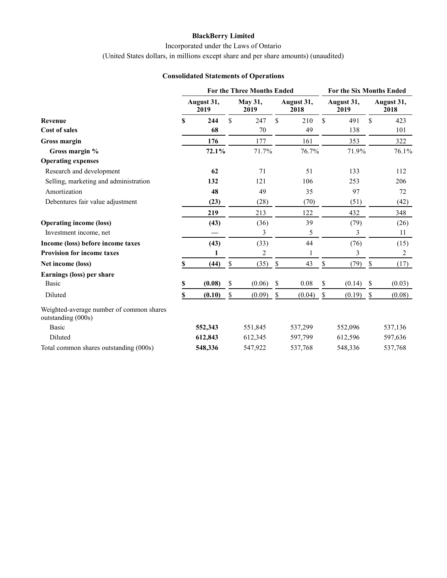#### **BlackBerry Limited**

# Incorporated under the Laws of Ontario

(United States dollars, in millions except share and per share amounts) (unaudited)

#### **Consolidated Statements of Operations**

|                                                                | <b>For the Three Months Ended</b> |         |    |                        |    |                    | <b>For the Six Months Ended</b> |         |      |                    |  |  |
|----------------------------------------------------------------|-----------------------------------|---------|----|------------------------|----|--------------------|---------------------------------|---------|------|--------------------|--|--|
|                                                                | August 31,<br>2019                |         |    | <b>May 31,</b><br>2019 |    | August 31,<br>2018 | August 31,<br>2019              |         |      | August 31,<br>2018 |  |  |
| <b>Revenue</b>                                                 | \$                                | 244     | \$ | 247                    | \$ | 210                | \$                              | 491     | \$   | 423                |  |  |
| <b>Cost of sales</b>                                           |                                   | 68      |    | 70                     |    | 49                 |                                 | 138     |      | 101                |  |  |
| Gross margin                                                   |                                   | 176     |    | 177                    |    | 161                |                                 | 353     |      | 322                |  |  |
| Gross margin %                                                 |                                   | 72.1%   |    | 71.7%                  |    | 76.7%              |                                 | 71.9%   |      | 76.1%              |  |  |
| <b>Operating expenses</b>                                      |                                   |         |    |                        |    |                    |                                 |         |      |                    |  |  |
| Research and development                                       |                                   | 62      |    | 71                     |    | 51                 |                                 | 133     |      | 112                |  |  |
| Selling, marketing and administration                          |                                   | 132     |    | 121                    |    | 106                |                                 | 253     |      | 206                |  |  |
| Amortization                                                   |                                   | 48      |    | 49                     |    | 35                 |                                 | 97      |      | 72                 |  |  |
| Debentures fair value adjustment                               |                                   | (23)    |    | (28)                   |    | (70)               |                                 | (51)    |      | (42)               |  |  |
|                                                                |                                   | 219     |    | 213                    |    | 122                |                                 | 432     |      | 348                |  |  |
| <b>Operating income (loss)</b>                                 |                                   | (43)    |    | (36)                   |    | 39                 |                                 | (79)    |      | (26)               |  |  |
| Investment income, net                                         |                                   |         |    | 3                      |    | 5                  |                                 | 3       |      | 11                 |  |  |
| Income (loss) before income taxes                              |                                   | (43)    |    | (33)                   |    | 44                 |                                 | (76)    |      | (15)               |  |  |
| <b>Provision for income taxes</b>                              |                                   |         |    | 2                      |    | 1                  |                                 | 3       |      | 2                  |  |  |
| Net income (loss)                                              | \$                                | (44)    | \$ | (35)                   | \$ | 43                 | \$                              | (79)    | $\$$ | (17)               |  |  |
| Earnings (loss) per share                                      |                                   |         |    |                        |    |                    |                                 |         |      |                    |  |  |
| Basic                                                          | \$                                | (0.08)  | \$ | (0.06)                 | \$ | 0.08               | \$                              | (0.14)  | \$   | (0.03)             |  |  |
| Diluted                                                        | S                                 | (0.10)  | \$ | (0.09)                 | \$ | (0.04)             | S                               | (0.19)  | \$   | (0.08)             |  |  |
| Weighted-average number of common shares<br>outstanding (000s) |                                   |         |    |                        |    |                    |                                 |         |      |                    |  |  |
| Basic                                                          |                                   | 552,343 |    | 551,845                |    | 537,299            |                                 | 552,096 |      | 537,136            |  |  |
| Diluted                                                        |                                   | 612,843 |    | 612,345                |    | 597,799            |                                 | 612,596 |      | 597,636            |  |  |
| Total common shares outstanding (000s)                         |                                   | 548,336 |    | 547,922                |    | 537,768            |                                 | 548,336 |      | 537,768            |  |  |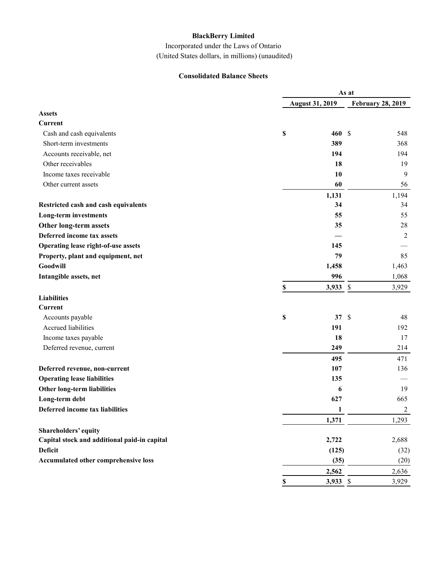#### **BlackBerry Limited**

Incorporated under the Laws of Ontario

(United States dollars, in millions) (unaudited)

#### **Consolidated Balance Sheets**

|                                              |                        | As at    |                          |                |  |
|----------------------------------------------|------------------------|----------|--------------------------|----------------|--|
|                                              | <b>August 31, 2019</b> |          | <b>February 28, 2019</b> |                |  |
| <b>Assets</b>                                |                        |          |                          |                |  |
| Current                                      |                        |          |                          |                |  |
| Cash and cash equivalents                    | \$                     | 460S     |                          | 548            |  |
| Short-term investments                       |                        | 389      |                          | 368            |  |
| Accounts receivable, net                     |                        | 194      |                          | 194            |  |
| Other receivables                            |                        | 18       |                          | 19             |  |
| Income taxes receivable                      |                        | 10       |                          | 9              |  |
| Other current assets                         |                        | 60       |                          | 56             |  |
|                                              |                        | 1,131    |                          | 1,194          |  |
| Restricted cash and cash equivalents         |                        | 34       |                          | 34             |  |
| <b>Long-term investments</b>                 |                        | 55       |                          | 55             |  |
| Other long-term assets                       |                        | 35       |                          | 28             |  |
| Deferred income tax assets                   |                        |          |                          | $\overline{2}$ |  |
| Operating lease right-of-use assets          |                        | 145      |                          |                |  |
| Property, plant and equipment, net           |                        | 79       |                          | 85             |  |
| Goodwill                                     |                        | 1,458    |                          | 1,463          |  |
| Intangible assets, net                       |                        | 996      |                          | 1,068          |  |
|                                              | \$                     | 3,933 \$ |                          | 3,929          |  |
| <b>Liabilities</b>                           |                        |          |                          |                |  |
| <b>Current</b>                               |                        |          |                          |                |  |
| Accounts payable                             | \$                     | 37S      |                          | 48             |  |
| Accrued liabilities                          |                        | 191      |                          | 192            |  |
| Income taxes payable                         |                        | 18       |                          | 17             |  |
| Deferred revenue, current                    |                        | 249      |                          | 214            |  |
|                                              |                        | 495      |                          | 471            |  |
| Deferred revenue, non-current                |                        | 107      |                          | 136            |  |
| <b>Operating lease liabilities</b>           |                        | 135      |                          |                |  |
| Other long-term liabilities                  |                        | 6        |                          | 19             |  |
| Long-term debt                               |                        | 627      |                          | 665            |  |
| Deferred income tax liabilities              |                        | 1        |                          | $\overline{c}$ |  |
|                                              |                        | 1,371    |                          | 1,293          |  |
| <b>Shareholders' equity</b>                  |                        |          |                          |                |  |
| Capital stock and additional paid-in capital |                        | 2,722    |                          | 2,688          |  |
| <b>Deficit</b>                               |                        | (125)    |                          | (32)           |  |
| Accumulated other comprehensive loss         |                        | (35)     |                          | (20)           |  |
|                                              |                        | 2,562    |                          | 2,636          |  |
|                                              | \$                     | 3,933 \$ |                          | 3,929          |  |